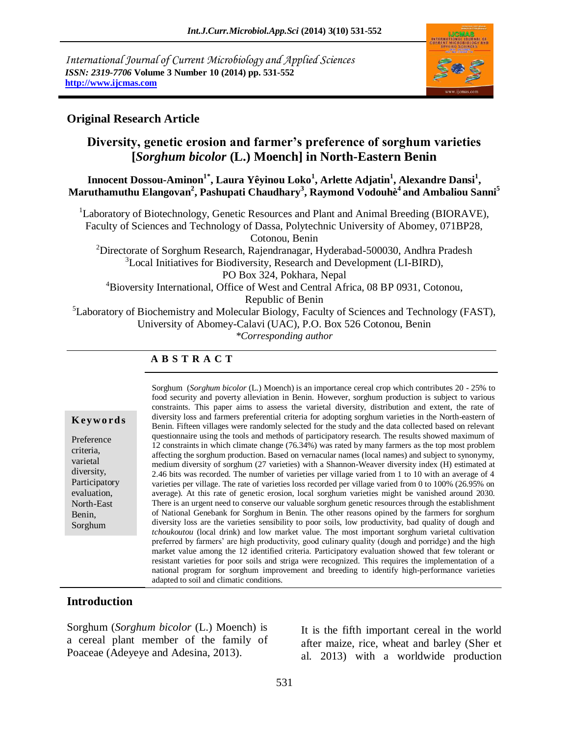*International Journal of Current Microbiology and Applied Sciences ISSN: 2319-7706* **Volume 3 Number 10 (2014) pp. 531-552 http://www.ijcmas.com** 



#### **Original Research Article**

## **Diversity, genetic erosion and farmer's preference of sorghum varieties [***Sorghum bicolor* **(L.) Moench] in North-Eastern Benin**

**Innocent Dossou-Aminon1\* , Laura Yêyinou Loko<sup>1</sup> , Arlette Adjatin<sup>1</sup> , Alexandre Dansi<sup>1</sup> , Maruthamuthu Elangovan<sup>2</sup> , Pashupati Chaudhary<sup>3</sup> , Raymond Vodouhè<sup>4</sup> and Ambaliou Sanni<sup>5</sup>**

<sup>1</sup>Laboratory of Biotechnology, Genetic Resources and Plant and Animal Breeding (BIORAVE), Faculty of Sciences and Technology of Dassa, Polytechnic University of Abomey, 071BP28, Cotonou, Benin

<sup>2</sup>Directorate of Sorghum Research, Rajendranagar, Hyderabad-500030, Andhra Pradesh <sup>3</sup>Local Initiatives for Biodiversity, Research and Development (LI-BIRD), PO Box 324, Pokhara, Nepal

<sup>4</sup>Bioversity International, Office of West and Central Africa, 08 BP 0931, Cotonou,

Republic of Benin

<sup>5</sup>Laboratory of Biochemistry and Molecular Biology, Faculty of Sciences and Technology (FAST),

University of Abomey-Calavi (UAC), P.O. Box 526 Cotonou, Benin

*\*Corresponding author* 

#### **A B S T R A C T**

#### **K ey w o rd s**

Preference criteria, varietal diversity, Participatory evaluation, North-East Benin, Sorghum

Sorghum (*Sorghum bicolor* (L.) Moench) is an importance cereal crop which contributes 20 - 25% to food security and poverty alleviation in Benin. However, sorghum production is subject to various constraints. This paper aims to assess the varietal diversity, distribution and extent, the rate of diversity loss and farmers preferential criteria for adopting sorghum varieties in the North-eastern of Benin. Fifteen villages were randomly selected for the study and the data collected based on relevant questionnaire using the tools and methods of participatory research. The results showed maximum of 12 constraints in which climate change (76.34%) was rated by many farmers as the top most problem affecting the sorghum production. Based on vernacular names (local names) and subject to synonymy, medium diversity of sorghum (27 varieties) with a Shannon-Weaver diversity index (H) estimated at 2.46 bits was recorded. The number of varieties per village varied from 1 to 10 with an average of 4 varieties per village. The rate of varieties loss recorded per village varied from 0 to 100% (26.95% on average). At this rate of genetic erosion, local sorghum varieties might be vanished around 2030. There is an urgent need to conserve our valuable sorghum genetic resources through the establishment of National Genebank for Sorghum in Benin. The other reasons opined by the farmers for sorghum diversity loss are the varieties sensibility to poor soils, low productivity, bad quality of dough and *tchoukoutou* (local drink) and low market value. The most important sorghum varietal cultivation preferred by farmers' are high productivity, good culinary quality (dough and porridge) and the high market value among the 12 identified criteria. Participatory evaluation showed that few tolerant or resistant varieties for poor soils and striga were recognized. This requires the implementation of a national program for sorghum improvement and breeding to identify high-performance varieties adapted to soil and climatic conditions.

#### **Introduction**

Sorghum (*Sorghum bicolor* (L.) Moench) is a cereal plant member of the family of Poaceae (Adeyeye and Adesina, 2013).

It is the fifth important cereal in the world after maize, rice, wheat and barley (Sher et al. 2013) with a worldwide production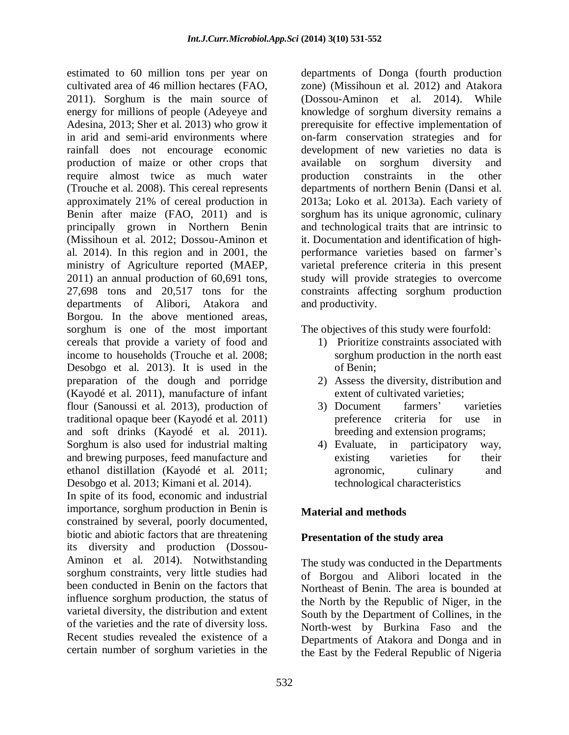estimated to 60 million tons per year on cultivated area of 46 million hectares (FAO, 2011). Sorghum is the main source of energy for millions of people (Adeyeye and Adesina, 2013; Sher et al. 2013) who grow it in arid and semi-arid environments where rainfall does not encourage economic production of maize or other crops that require almost twice as much water (Trouche et al. 2008). This cereal represents approximately 21% of cereal production in Benin after maize (FAO, 2011) and is principally grown in Northern Benin (Missihoun et al. 2012; Dossou-Aminon et al. 2014). In this region and in 2001, the ministry of Agriculture reported (MAEP, 2011) an annual production of 60,691 tons, 27,698 tons and 20,517 tons for the departments of Alibori, Atakora and Borgou. In the above mentioned areas, sorghum is one of the most important cereals that provide a variety of food and income to households (Trouche et al. 2008; Desobgo et al. 2013). It is used in the preparation of the dough and porridge (Kayodé et al. 2011), manufacture of infant flour (Sanoussi et al. 2013), production of traditional opaque beer (Kayodé et al. 2011) and soft drinks (Kayodé et al. 2011). Sorghum is also used for industrial malting and brewing purposes, feed manufacture and ethanol distillation (Kayodé et al. 2011; Desobgo et al. 2013; Kimani et al. 2014).

In spite of its food, economic and industrial importance, sorghum production in Benin is constrained by several, poorly documented, biotic and abiotic factors that are threatening its diversity and production (Dossou-Aminon et al. 2014). Notwithstanding sorghum constraints, very little studies had been conducted in Benin on the factors that influence sorghum production, the status of varietal diversity, the distribution and extent of the varieties and the rate of diversity loss. Recent studies revealed the existence of a certain number of sorghum varieties in the

departments of Donga (fourth production zone) (Missihoun et al. 2012) and Atakora (Dossou-Aminon et al. 2014). While knowledge of sorghum diversity remains a prerequisite for effective implementation of on-farm conservation strategies and for development of new varieties no data is available on sorghum diversity and production constraints in the other departments of northern Benin (Dansi et al. 2013a; Loko et al. 2013a). Each variety of sorghum has its unique agronomic, culinary and technological traits that are intrinsic to it. Documentation and identification of highperformance varieties based on farmer's varietal preference criteria in this present study will provide strategies to overcome constraints affecting sorghum production and productivity.

The objectives of this study were fourfold:

- 1) Prioritize constraints associated with sorghum production in the north east of Benin;
- 2) Assess the diversity, distribution and extent of cultivated varieties;
- 3) Document farmers' varieties preference criteria for use in breeding and extension programs;
- 4) Evaluate, in participatory way, existing varieties for their agronomic, culinary and technological characteristics

#### **Material and methods**

#### **Presentation of the study area**

The study was conducted in the Departments of Borgou and Alibori located in the Northeast of Benin. The area is bounded at the North by the Republic of Niger, in the South by the Department of Collines, in the North-west by Burkina Faso and the Departments of Atakora and Donga and in the East by the Federal Republic of Nigeria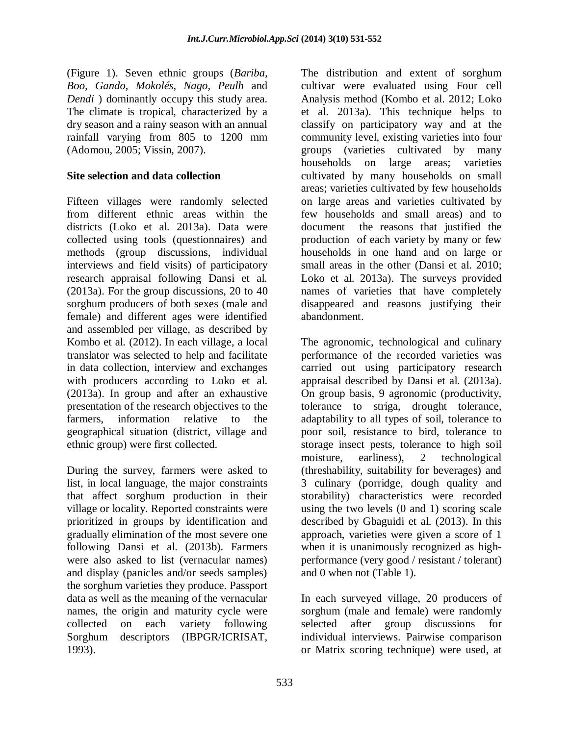(Figure 1). Seven ethnic groups (*Bariba, Boo, Gando, Mokolés, Nago, Peulh* and *Dendi* ) dominantly occupy this study area. The climate is tropical, characterized by a dry season and a rainy season with an annual rainfall varying from 805 to 1200 mm (Adomou, 2005; Vissin, 2007).

#### **Site selection and data collection**

Fifteen villages were randomly selected from different ethnic areas within the districts (Loko et al. 2013a). Data were collected using tools (questionnaires) and methods (group discussions, individual interviews and field visits) of participatory research appraisal following Dansi et al. (2013a). For the group discussions, 20 to 40 sorghum producers of both sexes (male and female) and different ages were identified and assembled per village, as described by Kombo et al. (2012). In each village, a local translator was selected to help and facilitate in data collection, interview and exchanges with producers according to Loko et al. (2013a). In group and after an exhaustive presentation of the research objectives to the farmers, information relative to the geographical situation (district, village and ethnic group) were first collected.

During the survey, farmers were asked to list, in local language, the major constraints that affect sorghum production in their village or locality. Reported constraints were prioritized in groups by identification and gradually elimination of the most severe one following Dansi et al. (2013b). Farmers were also asked to list (vernacular names) and display (panicles and/or seeds samples) the sorghum varieties they produce. Passport data as well as the meaning of the vernacular names, the origin and maturity cycle were collected on each variety following Sorghum descriptors (IBPGR/ICRISAT, 1993).

The distribution and extent of sorghum cultivar were evaluated using Four cell Analysis method (Kombo et al. 2012; Loko et al. 2013a). This technique helps to classify on participatory way and at the community level, existing varieties into four groups (varieties cultivated by many households on large areas; varieties cultivated by many households on small areas; varieties cultivated by few households on large areas and varieties cultivated by few households and small areas) and to document the reasons that justified the production of each variety by many or few households in one hand and on large or small areas in the other (Dansi et al. 2010; Loko et al. 2013a). The surveys provided names of varieties that have completely disappeared and reasons justifying their abandonment.

The agronomic, technological and culinary performance of the recorded varieties was carried out using participatory research appraisal described by Dansi et al. (2013a). On group basis, 9 agronomic (productivity, tolerance to striga, drought tolerance, adaptability to all types of soil, tolerance to poor soil, resistance to bird, tolerance to storage insect pests, tolerance to high soil moisture, earliness), 2 technological (threshability, suitability for beverages) and 3 culinary (porridge, dough quality and storability) characteristics were recorded using the two levels (0 and 1) scoring scale described by Gbaguidi et al. (2013). In this approach, varieties were given a score of 1 when it is unanimously recognized as highperformance (very good / resistant / tolerant) and 0 when not (Table 1).

In each surveyed village, 20 producers of sorghum (male and female) were randomly selected after group discussions for individual interviews. Pairwise comparison or Matrix scoring technique) were used, at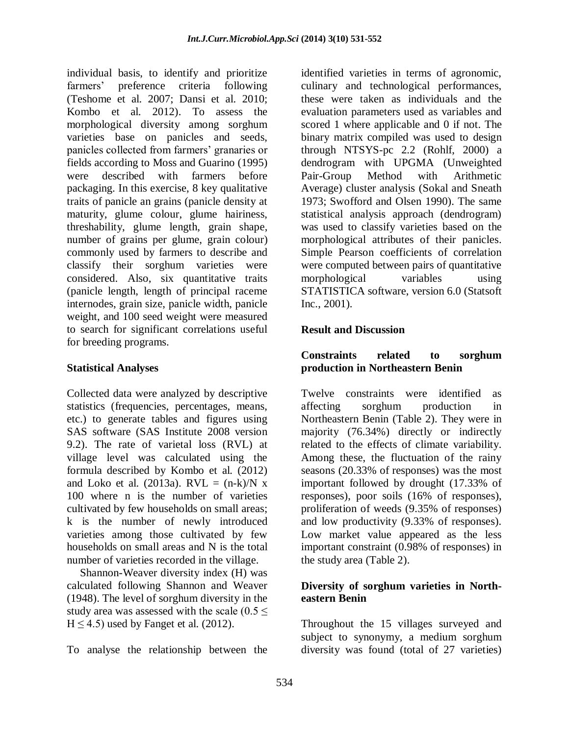individual basis, to identify and prioritize farmers' preference criteria following (Teshome et al. 2007; Dansi et al. 2010; Kombo et al. 2012). To assess the morphological diversity among sorghum varieties base on panicles and seeds, panicles collected from farmers' granaries or fields according to Moss and Guarino (1995) were described with farmers before packaging. In this exercise, 8 key qualitative traits of panicle an grains (panicle density at maturity, glume colour, glume hairiness, threshability, glume length, grain shape, number of grains per glume, grain colour) commonly used by farmers to describe and classify their sorghum varieties were considered. Also, six quantitative traits (panicle length, length of principal raceme internodes, grain size, panicle width, panicle weight, and 100 seed weight were measured to search for significant correlations useful for breeding programs.

#### **Statistical Analyses**

Collected data were analyzed by descriptive statistics (frequencies, percentages, means, etc.) to generate tables and figures using SAS software (SAS Institute 2008 version 9.2). The rate of varietal loss (RVL) at village level was calculated using the formula described by Kombo et al. (2012) and Loko et al. (2013a).  $RVL = (n-k)/N \times N$ 100 where n is the number of varieties cultivated by few households on small areas; k is the number of newly introduced varieties among those cultivated by few households on small areas and N is the total number of varieties recorded in the village.

Shannon-Weaver diversity index (H) was calculated following Shannon and Weaver (1948). The level of sorghum diversity in the study area was assessed with the scale ( $0.5 \le$  $H \le 4.5$ ) used by Fanget et al. (2012).

To analyse the relationship between the

identified varieties in terms of agronomic, culinary and technological performances, these were taken as individuals and the evaluation parameters used as variables and scored 1 where applicable and 0 if not. The binary matrix compiled was used to design through NTSYS-pc 2.2 (Rohlf, 2000) a dendrogram with UPGMA (Unweighted Pair-Group Method with Arithmetic Average) cluster analysis (Sokal and Sneath 1973; Swofford and Olsen 1990). The same statistical analysis approach (dendrogram) was used to classify varieties based on the morphological attributes of their panicles. Simple Pearson coefficients of correlation were computed between pairs of quantitative morphological variables using STATISTICA software, version 6.0 (Statsoft Inc., 2001).

### **Result and Discussion**

#### **Constraints related to sorghum production in Northeastern Benin**

Twelve constraints were identified as affecting sorghum production in Northeastern Benin (Table 2). They were in majority (76.34%) directly or indirectly related to the effects of climate variability. Among these, the fluctuation of the rainy seasons (20.33% of responses) was the most important followed by drought (17.33% of responses), poor soils (16% of responses), proliferation of weeds (9.35% of responses) and low productivity (9.33% of responses). Low market value appeared as the less important constraint (0.98% of responses) in the study area (Table 2).

#### **Diversity of sorghum varieties in Northeastern Benin**

Throughout the 15 villages surveyed and subject to synonymy, a medium sorghum diversity was found (total of 27 varieties)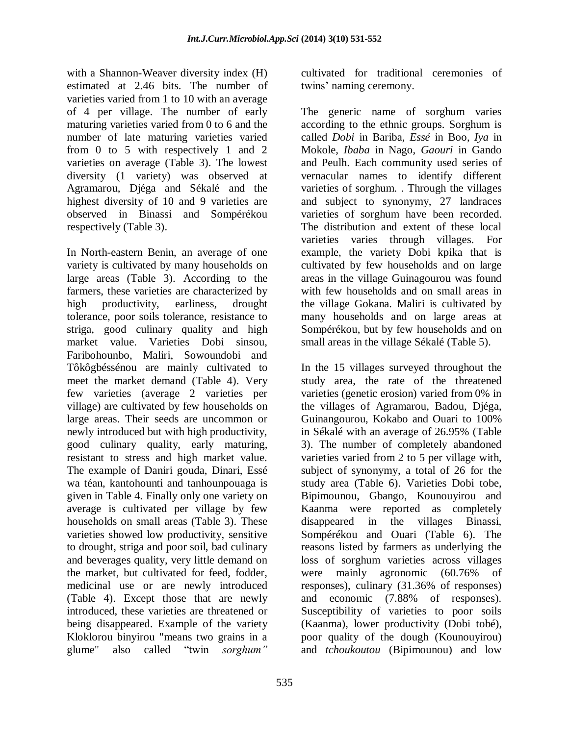with a Shannon-Weaver diversity index (H) estimated at 2.46 bits. The number of varieties varied from 1 to 10 with an average of 4 per village. The number of early maturing varieties varied from 0 to 6 and the number of late maturing varieties varied from 0 to 5 with respectively 1 and 2 varieties on average (Table 3). The lowest diversity (1 variety) was observed at Agramarou, Djéga and Sékalé and the highest diversity of 10 and 9 varieties are observed in Binassi and Sompérékou respectively (Table 3).

In North-eastern Benin, an average of one variety is cultivated by many households on large areas (Table 3). According to the farmers, these varieties are characterized by high productivity, earliness, drought tolerance, poor soils tolerance, resistance to striga, good culinary quality and high market value. Varieties Dobi sinsou, Faribohounbo, Maliri, Sowoundobi and Tôkôgbéssénou are mainly cultivated to meet the market demand (Table 4). Very few varieties (average 2 varieties per village) are cultivated by few households on large areas. Their seeds are uncommon or newly introduced but with high productivity, good culinary quality, early maturing, resistant to stress and high market value. The example of Daniri gouda, Dinari, Essé wa téan, kantohounti and tanhounpouaga is given in Table 4. Finally only one variety on average is cultivated per village by few households on small areas (Table 3). These varieties showed low productivity, sensitive to drought, striga and poor soil, bad culinary and beverages quality, very little demand on the market, but cultivated for feed, fodder, medicinal use or are newly introduced (Table 4). Except those that are newly introduced, these varieties are threatened or being disappeared. Example of the variety Kloklorou binyirou "means two grains in a glume" also called "twin *sorghum"*

cultivated for traditional ceremonies of twins' naming ceremony.

The generic name of sorghum varies according to the ethnic groups. Sorghum is called *Dobi* in Bariba, *Essé* in Boo, *Iya* in Mokole, *Ibaba* in Nago, *Gaouri* in Gando and Peulh. Each community used series of vernacular names to identify different varieties of sorghum. . Through the villages and subject to synonymy, 27 landraces varieties of sorghum have been recorded. The distribution and extent of these local varieties varies through villages. For example, the variety Dobi kpika that is cultivated by few households and on large areas in the village Guinagourou was found with few households and on small areas in the village Gokana. Maliri is cultivated by many households and on large areas at Sompérékou, but by few households and on small areas in the village Sékalé (Table 5).

In the 15 villages surveyed throughout the study area, the rate of the threatened varieties (genetic erosion) varied from 0% in the villages of Agramarou, Badou, Djéga, Guinangourou, Kokabo and Ouari to 100% in Sékalé with an average of 26.95% (Table 3). The number of completely abandoned varieties varied from 2 to 5 per village with, subject of synonymy, a total of 26 for the study area (Table 6). Varieties Dobi tobe, Bipimounou, Gbango, Kounouyirou and Kaanma were reported as completely disappeared in the villages Binassi, Sompérékou and Ouari (Table 6). The reasons listed by farmers as underlying the loss of sorghum varieties across villages were mainly agronomic (60.76% of responses), culinary (31.36% of responses) and economic (7.88% of responses). Susceptibility of varieties to poor soils (Kaanma), lower productivity (Dobi tobé), poor quality of the dough (Kounouyirou) and *tchoukoutou* (Bipimounou) and low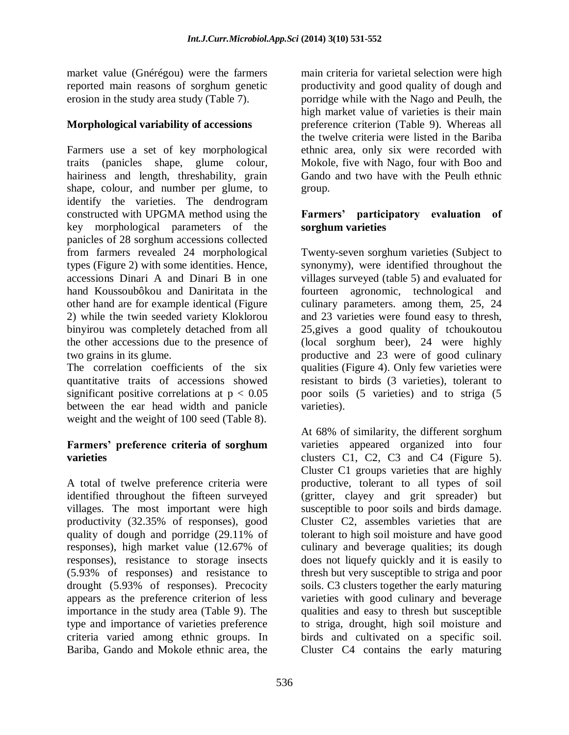market value (Gnérégou) were the farmers reported main reasons of sorghum genetic erosion in the study area study (Table 7).

#### **Morphological variability of accessions**

Farmers use a set of key morphological traits (panicles shape, glume colour, hairiness and length, threshability, grain shape, colour, and number per glume, to identify the varieties. The dendrogram constructed with UPGMA method using the key morphological parameters of the panicles of 28 sorghum accessions collected from farmers revealed 24 morphological types (Figure 2) with some identities. Hence, accessions Dinari A and Dinari B in one hand Koussoubôkou and Daniritata in the other hand are for example identical (Figure 2) while the twin seeded variety Kloklorou binyirou was completely detached from all the other accessions due to the presence of two grains in its glume.

The correlation coefficients of the six quantitative traits of accessions showed significant positive correlations at  $p < 0.05$ between the ear head width and panicle weight and the weight of 100 seed (Table 8).

#### **Farmers' preference criteria of sorghum varieties**

A total of twelve preference criteria were identified throughout the fifteen surveyed villages. The most important were high productivity (32.35% of responses), good quality of dough and porridge (29.11% of responses), high market value (12.67% of responses), resistance to storage insects (5.93% of responses) and resistance to drought (5.93% of responses). Precocity appears as the preference criterion of less importance in the study area (Table 9). The type and importance of varieties preference criteria varied among ethnic groups. In Bariba, Gando and Mokole ethnic area, the

main criteria for varietal selection were high productivity and good quality of dough and porridge while with the Nago and Peulh, the high market value of varieties is their main preference criterion (Table 9). Whereas all the twelve criteria were listed in the Bariba ethnic area, only six were recorded with Mokole, five with Nago, four with Boo and Gando and two have with the Peulh ethnic group.

#### **Farmers' participatory evaluation of sorghum varieties**

Twenty-seven sorghum varieties (Subject to synonymy), were identified throughout the villages surveyed (table 5) and evaluated for fourteen agronomic, technological and culinary parameters. among them, 25, 24 and 23 varieties were found easy to thresh, 25,gives a good quality of tchoukoutou (local sorghum beer), 24 were highly productive and 23 were of good culinary qualities (Figure 4). Only few varieties were resistant to birds (3 varieties), tolerant to poor soils (5 varieties) and to striga (5 varieties).

At 68% of similarity, the different sorghum varieties appeared organized into four clusters C1, C2, C3 and C4 (Figure 5). Cluster C1 groups varieties that are highly productive, tolerant to all types of soil (gritter, clayey and grit spreader) but susceptible to poor soils and birds damage. Cluster C2, assembles varieties that are tolerant to high soil moisture and have good culinary and beverage qualities; its dough does not liquefy quickly and it is easily to thresh but very susceptible to striga and poor soils. C3 clusters together the early maturing varieties with good culinary and beverage qualities and easy to thresh but susceptible to striga, drought, high soil moisture and birds and cultivated on a specific soil. Cluster C4 contains the early maturing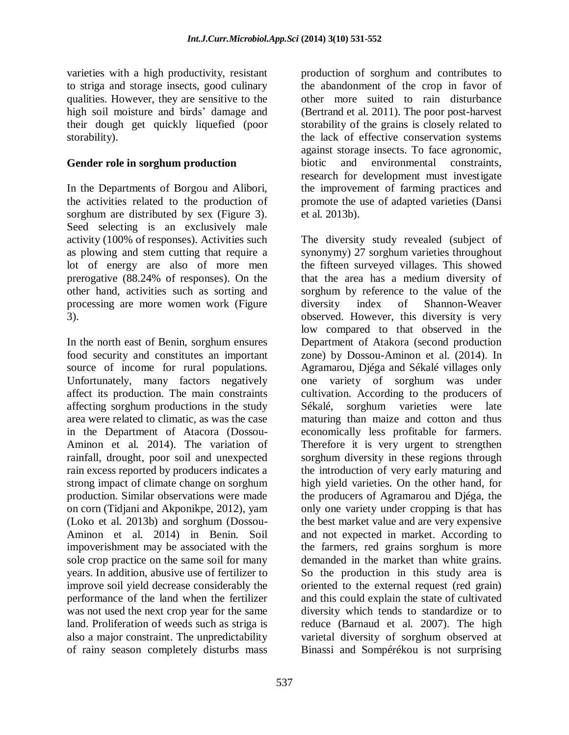varieties with a high productivity, resistant to striga and storage insects, good culinary qualities. However, they are sensitive to the high soil moisture and birds' damage and their dough get quickly liquefied (poor storability).

#### **Gender role in sorghum production**

In the Departments of Borgou and Alibori, the activities related to the production of sorghum are distributed by sex (Figure 3). Seed selecting is an exclusively male activity (100% of responses). Activities such as plowing and stem cutting that require a lot of energy are also of more men prerogative (88.24% of responses). On the other hand, activities such as sorting and processing are more women work (Figure 3).

In the north east of Benin, sorghum ensures food security and constitutes an important source of income for rural populations. Unfortunately, many factors negatively affect its production. The main constraints affecting sorghum productions in the study area were related to climatic, as was the case in the Department of Atacora (Dossou-Aminon et al. 2014). The variation of rainfall, drought, poor soil and unexpected rain excess reported by producers indicates a strong impact of climate change on sorghum production. Similar observations were made on corn (Tidjani and Akponikpe, 2012), yam (Loko et al. 2013b) and sorghum (Dossou-Aminon et al. 2014) in Benin. Soil impoverishment may be associated with the sole crop practice on the same soil for many years. In addition, abusive use of fertilizer to improve soil yield decrease considerably the performance of the land when the fertilizer was not used the next crop year for the same land. Proliferation of weeds such as striga is also a major constraint. The unpredictability of rainy season completely disturbs mass

production of sorghum and contributes to the abandonment of the crop in favor of other more suited to rain disturbance (Bertrand et al. 2011). The poor post-harvest storability of the grains is closely related to the lack of effective conservation systems against storage insects. To face agronomic, biotic and environmental constraints, research for development must investigate the improvement of farming practices and promote the use of adapted varieties (Dansi et al. 2013b).

The diversity study revealed (subject of synonymy) 27 sorghum varieties throughout the fifteen surveyed villages. This showed that the area has a medium diversity of sorghum by reference to the value of the diversity index of Shannon-Weaver observed. However, this diversity is very low compared to that observed in the Department of Atakora (second production zone) by Dossou-Aminon et al. (2014). In Agramarou, Djéga and Sékalé villages only one variety of sorghum was under cultivation. According to the producers of Sékalé, sorghum varieties were late maturing than maize and cotton and thus economically less profitable for farmers. Therefore it is very urgent to strengthen sorghum diversity in these regions through the introduction of very early maturing and high yield varieties. On the other hand, for the producers of Agramarou and Djéga, the only one variety under cropping is that has the best market value and are very expensive and not expected in market. According to the farmers, red grains sorghum is more demanded in the market than white grains. So the production in this study area is oriented to the external request (red grain) and this could explain the state of cultivated diversity which tends to standardize or to reduce (Barnaud et al. 2007). The high varietal diversity of sorghum observed at Binassi and Sompérékou is not surprising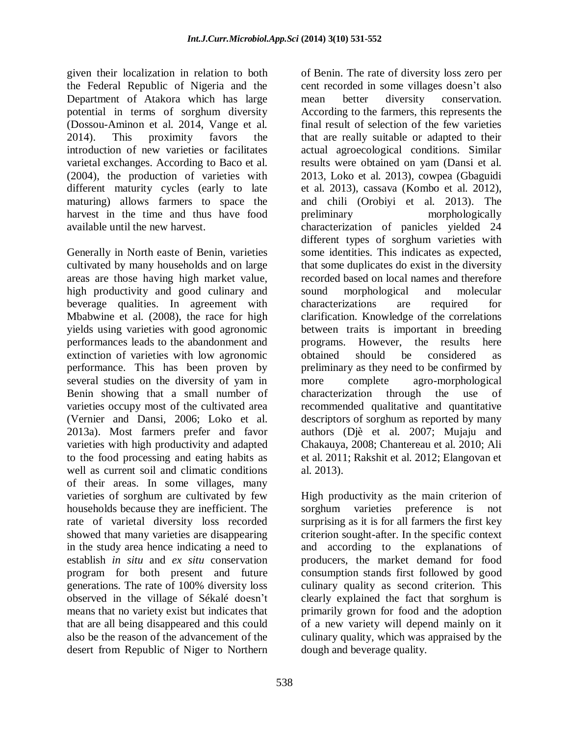given their localization in relation to both the Federal Republic of Nigeria and the Department of Atakora which has large potential in terms of sorghum diversity (Dossou-Aminon et al. 2014, Vange et al. 2014). This proximity favors the introduction of new varieties or facilitates varietal exchanges. According to Baco et al. (2004), the production of varieties with different maturity cycles (early to late maturing) allows farmers to space the harvest in the time and thus have food available until the new harvest.

Generally in North easte of Benin, varieties cultivated by many households and on large areas are those having high market value, high productivity and good culinary and beverage qualities. In agreement with Mbabwine et al. (2008), the race for high yields using varieties with good agronomic performances leads to the abandonment and extinction of varieties with low agronomic performance. This has been proven by several studies on the diversity of yam in Benin showing that a small number of varieties occupy most of the cultivated area (Vernier and Dansi, 2006; Loko et al. 2013a). Most farmers prefer and favor varieties with high productivity and adapted to the food processing and eating habits as well as current soil and climatic conditions of their areas. In some villages, many varieties of sorghum are cultivated by few households because they are inefficient. The rate of varietal diversity loss recorded showed that many varieties are disappearing in the study area hence indicating a need to establish *in situ* and *ex situ* conservation program for both present and future generations. The rate of 100% diversity loss observed in the village of Sékalé doesn't means that no variety exist but indicates that that are all being disappeared and this could also be the reason of the advancement of the desert from Republic of Niger to Northern of Benin. The rate of diversity loss zero per cent recorded in some villages doesn't also mean better diversity conservation. According to the farmers, this represents the final result of selection of the few varieties that are really suitable or adapted to their actual agroecological conditions. Similar results were obtained on yam (Dansi et al. 2013, Loko et al. 2013), cowpea (Gbaguidi et al. 2013), cassava (Kombo et al. 2012), and chili (Orobiyi et al. 2013). The preliminary morphologically characterization of panicles yielded 24 different types of sorghum varieties with some identities. This indicates as expected, that some duplicates do exist in the diversity recorded based on local names and therefore sound morphological and molecular characterizations are required for clarification. Knowledge of the correlations between traits is important in breeding programs. However, the results here obtained should be considered as preliminary as they need to be confirmed by more complete agro-morphological characterization through the use of recommended qualitative and quantitative descriptors of sorghum as reported by many authors (Djè et al. 2007; Mujaju and Chakauya, 2008; Chantereau et al. 2010; Ali et al. 2011; Rakshit et al. 2012; Elangovan et al. 2013).

High productivity as the main criterion of sorghum varieties preference is not surprising as it is for all farmers the first key criterion sought-after. In the specific context and according to the explanations of producers, the market demand for food consumption stands first followed by good culinary quality as second criterion. This clearly explained the fact that sorghum is primarily grown for food and the adoption of a new variety will depend mainly on it culinary quality, which was appraised by the dough and beverage quality.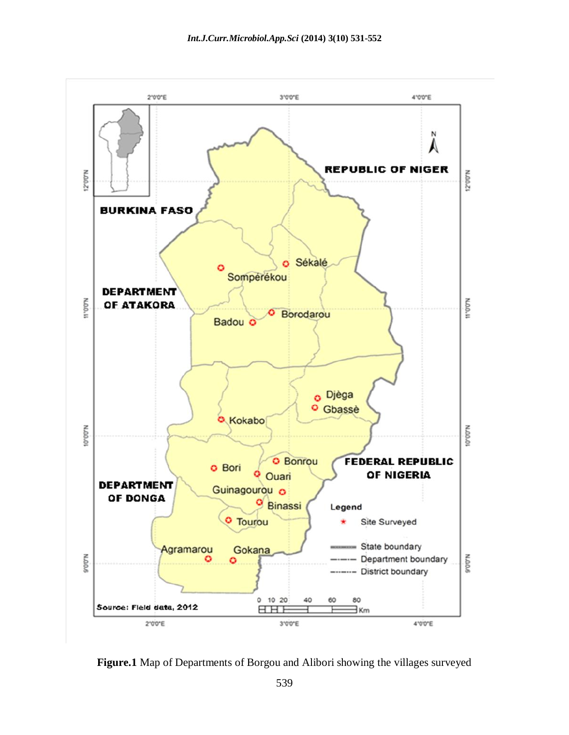

**Figure.1** Map of Departments of Borgou and Alibori showing the villages surveyed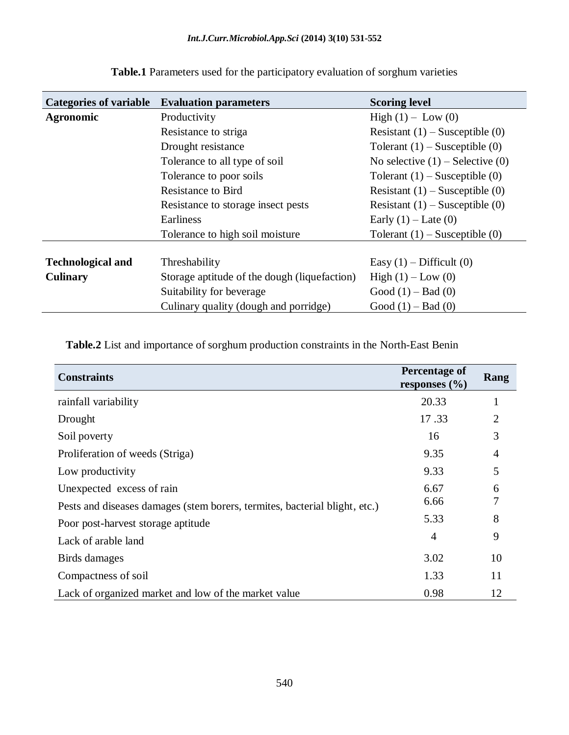| <b>Categories of variable</b> | <b>Evaluation parameters</b>                 | <b>Scoring level</b>                 |  |  |  |
|-------------------------------|----------------------------------------------|--------------------------------------|--|--|--|
| <b>Agronomic</b>              | Productivity                                 | High $(1) - Low(0)$                  |  |  |  |
|                               | Resistance to striga                         | Resistant $(1)$ – Susceptible $(0)$  |  |  |  |
|                               | Drought resistance                           | Tolerant $(1)$ – Susceptible $(0)$   |  |  |  |
|                               | Tolerance to all type of soil                | No selective $(1)$ – Selective $(0)$ |  |  |  |
|                               | Tolerance to poor soils                      | Tolerant $(1)$ – Susceptible $(0)$   |  |  |  |
|                               | <b>Resistance to Bird</b>                    | Resistant $(1)$ – Susceptible $(0)$  |  |  |  |
|                               | Resistance to storage insect pests           | Resistant $(1)$ – Susceptible $(0)$  |  |  |  |
|                               | <b>Earliness</b>                             | Early $(1)$ – Late $(0)$             |  |  |  |
|                               | Tolerance to high soil moisture              | Tolerant $(1)$ – Susceptible $(0)$   |  |  |  |
|                               |                                              |                                      |  |  |  |
| <b>Technological and</b>      | Threshability                                | Easy $(1)$ – Difficult $(0)$         |  |  |  |
| <b>Culinary</b>               | Storage aptitude of the dough (liquefaction) | High (1) – Low (0)                   |  |  |  |
|                               | Suitability for beverage                     | Good $(1)$ – Bad $(0)$               |  |  |  |
|                               | Culinary quality (dough and porridge)        | Good $(1)$ – Bad $(0)$               |  |  |  |

**Table.1** Parameters used for the participatory evaluation of sorghum varieties

**Table.2** List and importance of sorghum production constraints in the North-East Benin

| <b>Constraints</b>                                                         | Percentage of<br>responses $(\% )$ | Rang |
|----------------------------------------------------------------------------|------------------------------------|------|
| rainfall variability                                                       | 20.33                              |      |
| Drought                                                                    | 17.33                              | 2    |
| Soil poverty                                                               | 16                                 | 3    |
| Proliferation of weeds (Striga)                                            | 9.35                               | 4    |
| Low productivity                                                           | 9.33                               | 5    |
| Unexpected excess of rain                                                  | 6.67                               | 6    |
| Pests and diseases damages (stem borers, termites, bacterial blight, etc.) | 6.66                               |      |
| Poor post-harvest storage aptitude                                         | 5.33                               | 8    |
| Lack of arable land                                                        | $\overline{4}$                     | 9    |
| Birds damages                                                              | 3.02                               | 10   |
| Compactness of soil                                                        | 1.33                               | 11   |
| Lack of organized market and low of the market value                       | 0.98                               | 12   |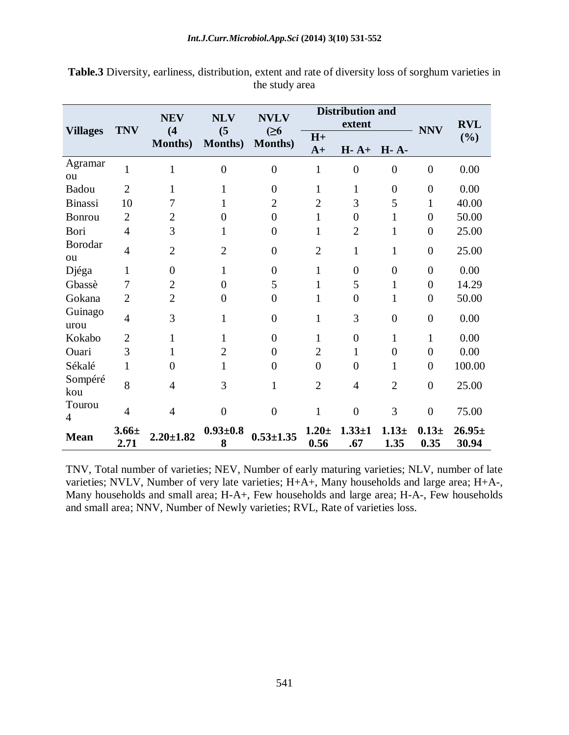| <b>Villages</b>          | <b>TNV</b>         | <b>NEV</b><br>(4) | <b>NLV</b><br>(5)   | <b>NVLV</b><br>(26) |                  | <b>Distribution and</b><br>extent |                  | <b>NNV</b>       | <b>RVL</b>          |
|--------------------------|--------------------|-------------------|---------------------|---------------------|------------------|-----------------------------------|------------------|------------------|---------------------|
|                          |                    | <b>Months</b> )   | <b>Months</b> )     | <b>Months</b> )     | $H+$<br>$A+$     | $H - A +$                         | <b>H</b> - A-    |                  | (%)                 |
| Agramar<br>ou            | $\mathbf{1}$       | 1                 | $\overline{0}$      | $\overline{0}$      | $\mathbf{1}$     | $\overline{0}$                    | $\overline{0}$   | $\overline{0}$   | 0.00                |
| Badou                    | $\overline{2}$     | 1                 | 1                   | $\Omega$            | $\mathbf{1}$     | 1                                 | $\boldsymbol{0}$ | $\overline{0}$   | 0.00                |
| <b>Binassi</b>           | 10                 | 7                 | 1                   | $\overline{2}$      | $\overline{2}$   | 3                                 | 5                | 1                | 40.00               |
| <b>Bonrou</b>            | $\overline{2}$     | $\overline{2}$    | 0                   | $\overline{0}$      | 1                | $\theta$                          | 1                | $\boldsymbol{0}$ | 50.00               |
| Bori                     | $\overline{4}$     | 3                 | 1                   | $\overline{0}$      | 1                | $\overline{2}$                    | 1                | $\overline{0}$   | 25.00               |
| Borodar<br>ou            | $\overline{4}$     | $\overline{2}$    | $\overline{2}$      | $\overline{0}$      | $\overline{2}$   | $\mathbf{1}$                      | $\mathbf{1}$     | $\boldsymbol{0}$ | 25.00               |
| Djéga                    | 1                  | $\overline{0}$    | 1                   | $\theta$            | 1                | $\theta$                          | $\overline{0}$   | $\overline{0}$   | 0.00                |
| Gbassè                   | 7                  | $\overline{2}$    | $\boldsymbol{0}$    | 5                   | 1                | 5                                 | $\mathbf{1}$     | $\overline{0}$   | 14.29               |
| Gokana                   | $\overline{2}$     | $\overline{2}$    | $\boldsymbol{0}$    | $\overline{0}$      | 1                | $\overline{0}$                    | $\mathbf{1}$     | $\overline{0}$   | 50.00               |
| Guinago<br>urou          | $\overline{4}$     | 3                 | $\mathbf{1}$        | $\overline{0}$      | $\mathbf{1}$     | 3                                 | $\overline{0}$   | $\overline{0}$   | 0.00                |
| Kokabo                   | $\overline{2}$     | 1                 | $\mathbf{1}$        | $\overline{0}$      | 1                | $\overline{0}$                    | 1                | 1                | 0.00                |
| Ouari                    | 3                  | 1                 | $\overline{2}$      | $\theta$            | $\overline{2}$   | 1                                 | $\overline{0}$   | $\overline{0}$   | 0.00                |
| Sékalé                   | 1                  | $\theta$          | $\mathbf{1}$        | $\Omega$            | $\overline{0}$   | $\theta$                          | $\mathbf{1}$     | $\boldsymbol{0}$ | 100.00              |
| Sompéré<br>kou           | 8                  | 4                 | 3                   | 1                   | $\overline{2}$   | $\overline{4}$                    | $\overline{2}$   | $\overline{0}$   | 25.00               |
| Tourou<br>$\overline{4}$ | $\overline{4}$     | $\overline{4}$    | $\overline{0}$      | $\theta$            | 1                | $\overline{0}$                    | 3                | $\boldsymbol{0}$ | 75.00               |
| <b>Mean</b>              | $3.66 \pm$<br>2.71 | $2.20 \pm 1.82$   | $0.93 \pm 0.8$<br>8 | $0.53 \pm 1.35$     | $1.20 +$<br>0.56 | $1.33 + 1$<br>.67                 | $1.13 +$<br>1.35 | $0.13 +$<br>0.35 | $26.95\pm$<br>30.94 |

**Table.3** Diversity, earliness, distribution, extent and rate of diversity loss of sorghum varieties in the study area

TNV, Total number of varieties; NEV, Number of early maturing varieties; NLV, number of late varieties; NVLV, Number of very late varieties; H+A+, Many households and large area; H+A-, Many households and small area; H-A+, Few households and large area; H-A-, Few households and small area; NNV, Number of Newly varieties; RVL, Rate of varieties loss.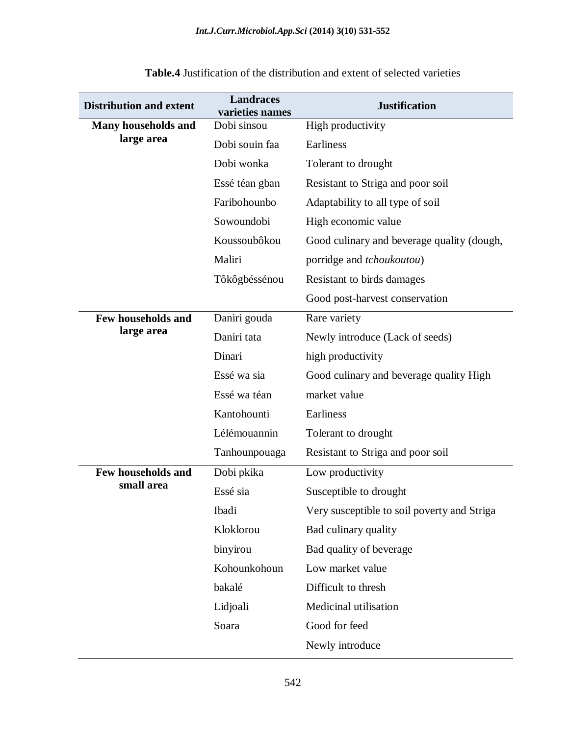| <b>Distribution and extent</b> | <b>Landraces</b><br>varieties names | <b>Justification</b>                        |
|--------------------------------|-------------------------------------|---------------------------------------------|
| Many households and            | Dobi sinsou                         | High productivity                           |
| large area                     | Dobi souin faa                      | Earliness                                   |
|                                | Dobi wonka                          | Tolerant to drought                         |
|                                | Essé téan gban                      | Resistant to Striga and poor soil           |
|                                | Faribohounbo                        | Adaptability to all type of soil            |
|                                | Sowoundobi                          | High economic value                         |
|                                | Koussoubôkou                        | Good culinary and beverage quality (dough,  |
|                                | Maliri                              | porridge and <i>tchoukoutou</i> )           |
|                                | Tôkôgbéssénou                       | Resistant to birds damages                  |
|                                |                                     | Good post-harvest conservation              |
| Few households and             | Daniri gouda                        | Rare variety                                |
| large area                     | Daniri tata                         | Newly introduce (Lack of seeds)             |
|                                | Dinari                              | high productivity                           |
|                                | Essé wa sia                         | Good culinary and beverage quality High     |
|                                | Essé wa téan                        | market value                                |
|                                | Kantohounti                         | Earliness                                   |
|                                | Lélémouannin                        | Tolerant to drought                         |
|                                | Tanhounpouaga                       | Resistant to Striga and poor soil           |
| Few households and             | Dobi pkika                          | Low productivity                            |
| small area                     | Essé sia                            | Susceptible to drought                      |
|                                | Ibadi                               | Very susceptible to soil poverty and Striga |
|                                | Kloklorou                           | Bad culinary quality                        |
|                                | binyirou                            | Bad quality of beverage                     |
|                                | Kohounkohoun                        | Low market value                            |
|                                | bakalé                              | Difficult to thresh                         |
|                                | Lidjoali                            | Medicinal utilisation                       |
|                                | Soara                               | Good for feed                               |
|                                |                                     | Newly introduce                             |

**Table.4** Justification of the distribution and extent of selected varieties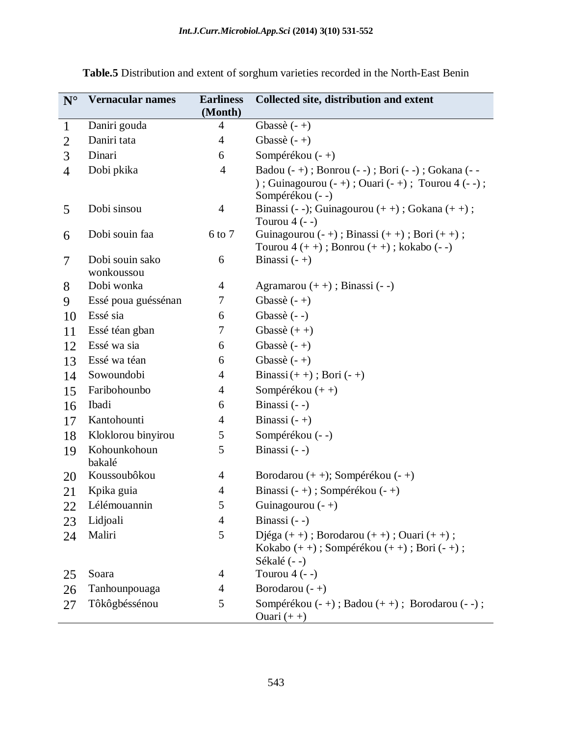| $N^{\circ}$    | <b>Vernacular names</b>       | <b>Earliness</b><br>(Month) | Collected site, distribution and extent                                                                                            |
|----------------|-------------------------------|-----------------------------|------------------------------------------------------------------------------------------------------------------------------------|
| $\mathbf{1}$   | Daniri gouda                  | 4                           | Gbassè $(-+)$                                                                                                                      |
| $\overline{2}$ | Daniri tata                   | $\overline{4}$              | Gbassè $(-+)$                                                                                                                      |
| 3              | Dinari                        | 6                           | Sompérékou (-+)                                                                                                                    |
| $\overline{4}$ | Dobi pkika                    | $\overline{4}$              | Badou (- +); Bonrou (- -); Bori (- -); Gokana (- -<br>) ; Guinagourou $(-+)$ ; Ouari $(-+)$ ; Tourou 4 $(--)$ ;<br>Sompérékou (--) |
| 5              | Dobi sinsou                   | $\overline{4}$              | Binassi (- -); Guinagourou $(++)$ ; Gokana $(++)$ ;<br>Tourou $4$ (--)                                                             |
| 6              | Dobi souin faa                | 6 to 7                      | Guinagourou $(-+)$ ; Binassi $(++)$ ; Bori $(++)$ ;<br>Tourou $4 (++)$ ; Bonrou $(++)$ ; kokabo $(-)$                              |
| 7              | Dobi souin sako<br>wonkoussou | 6                           | Binassi $(-+)$                                                                                                                     |
| 8              | Dobi wonka                    | $\overline{4}$              | Agramarou $(++)$ ; Binassi $(--)$                                                                                                  |
| 9              | Essé poua guéssénan           | 7                           | Gbassè $(-+)$                                                                                                                      |
| 10             | Essé sia                      | 6                           | Gbassè (--)                                                                                                                        |
| 11             | Essé téan gban                | 7                           | Gbassè $(++)$                                                                                                                      |
| 12             | Essé wa sia                   | 6                           | Gbassè $(-+)$                                                                                                                      |
| 13             | Essé wa téan                  | 6                           | Gbassè $(-+)$                                                                                                                      |
| 14             | Sowoundobi                    | $\overline{4}$              | Binassi $(++)$ ; Bori $(-+)$                                                                                                       |
| 15             | Faribohounbo                  | 4                           | Sompérékou $(++)$                                                                                                                  |
| 16             | Ibadi                         | 6                           | Binassi (--)                                                                                                                       |
| 17             | Kantohounti                   | $\overline{4}$              | Binassi $(-+)$                                                                                                                     |
| 18             | Kloklorou binyirou            | 5                           | Sompérékou (--)                                                                                                                    |
| 19             | Kohounkohoun<br>bakalé        | 5                           | Binassi (--)                                                                                                                       |
| 20             | Koussoubôkou                  | 4                           | Borodarou $(+)$ ; Sompérékou $(-+)$                                                                                                |
| 21             | Kpika guia                    | $\overline{4}$              | Binassi $(-+)$ ; Sompérékou $(-+)$                                                                                                 |
| 22             | Lélémouannin                  | 5                           | Guinagourou $(-+)$                                                                                                                 |
| 23             | Lidjoali                      | $\overline{4}$              | Binassi $(--)$                                                                                                                     |
| 24             | Maliri                        | 5                           | Djéga $(++)$ ; Borodarou $(++)$ ; Ouari $(++)$ ;<br>Kokabo $(++)$ ; Sompérékou $(++)$ ; Bori $(-+)$ ;<br>Sékalé (--)               |
| 25             | Soara                         | 4                           | Tourou $4$ (--)                                                                                                                    |
| 26             | Tanhounpouaga                 | $\overline{4}$              | Borodarou $(-+)$                                                                                                                   |
| 27             | Tôkôgbéssénou                 | 5                           | Sompérékou (- +); Badou (+ +); Borodarou (- -);<br>Ouari $(++)$                                                                    |

**Table.5** Distribution and extent of sorghum varieties recorded in the North-East Benin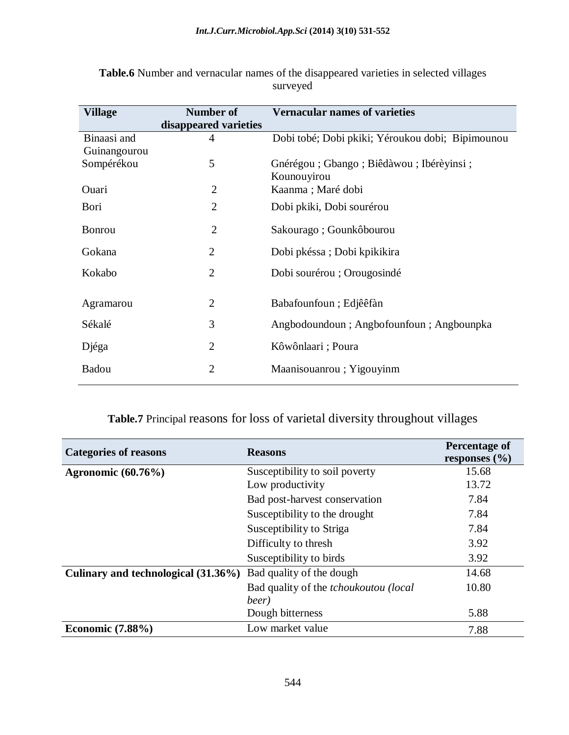| <b>Village</b> | <b>Number of</b>      | <b>Vernacular names of varieties</b>             |
|----------------|-----------------------|--------------------------------------------------|
|                | disappeared varieties |                                                  |
| Binaasi and    | 4                     | Dobi tobé; Dobi pkiki; Yéroukou dobi; Bipimounou |
| Guinangourou   |                       |                                                  |
| Sompérékou     | 5                     | Gnérégou; Gbango; Biêdàwou; Ibérèyinsi;          |
|                |                       | Kounouyirou                                      |
| Ouari          | $\overline{2}$        | Kaanma; Maré dobi                                |
| Bori           | $\overline{2}$        | Dobi pkiki, Dobi sourérou                        |
| <b>Bonrou</b>  | $\overline{2}$        | Sakourago; Gounkôbourou                          |
|                |                       |                                                  |
| Gokana         | $\overline{2}$        | Dobi pkéssa; Dobi kpikikira                      |
| Kokabo         | $\overline{2}$        | Dobi sourérou ; Orougosindé                      |
|                |                       |                                                  |
| Agramarou      | $\overline{2}$        | Babafounfoun; Edjêêfàn                           |
| Sékalé         | 3                     | Angbodoundoun; Angbofounfoun; Angbounpka         |
|                |                       |                                                  |
| Djéga          | $\overline{2}$        | Kôwônlaari; Poura                                |
| Badou          | $\overline{2}$        | Maanisouanrou; Yigouyinm                         |
|                |                       |                                                  |

**Table.6** Number and vernacular names of the disappeared varieties in selected villages surveyed

# **Table.7** Principal reasons for loss of varietal diversity throughout villages

| <b>Categories of reasons</b>        | <b>Reasons</b>                               | Percentage of<br>responses $(\% )$ |
|-------------------------------------|----------------------------------------------|------------------------------------|
| <b>Agronomic</b> (60.76%)           | Susceptibility to soil poverty               | 15.68                              |
|                                     | Low productivity                             | 13.72                              |
|                                     | Bad post-harvest conservation                | 7.84                               |
|                                     | Susceptibility to the drought                | 7.84                               |
|                                     | Susceptibility to Striga                     | 7.84                               |
|                                     | Difficulty to thresh                         | 3.92                               |
|                                     | Susceptibility to birds                      | 3.92                               |
| Culinary and technological (31.36%) | Bad quality of the dough                     | 14.68                              |
|                                     | Bad quality of the <i>tchoukoutou</i> (local | 10.80                              |
|                                     | beer)                                        |                                    |
|                                     | Dough bitterness                             | 5.88                               |
| Economic $(7.88\%)$                 | Low market value                             | 7.88                               |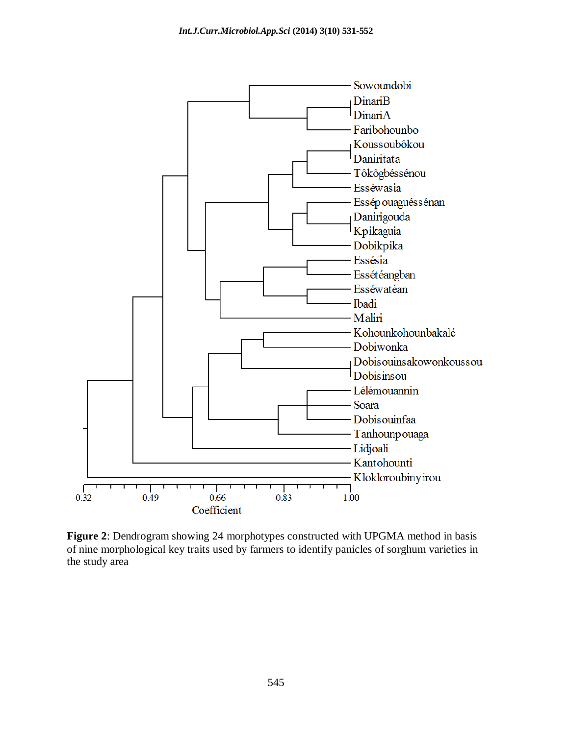

**Figure 2**: Dendrogram showing 24 morphotypes constructed with UPGMA method in basis of nine morphological key traits used by farmers to identify panicles of sorghum varieties in the study area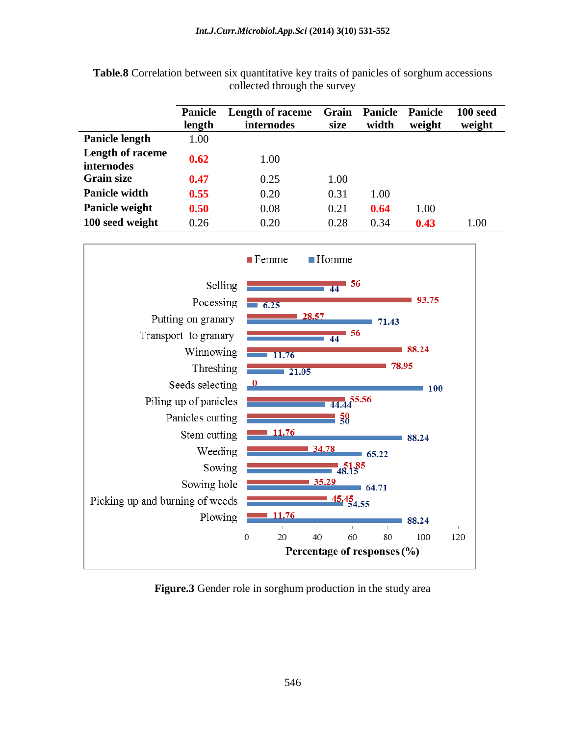|                                       | <b>Panicle</b><br>length | <b>Length of raceme</b><br>internodes | Grain<br>size | <b>Panicle</b><br>width | <b>Panicle</b><br>weight | 100 seed<br>weight |
|---------------------------------------|--------------------------|---------------------------------------|---------------|-------------------------|--------------------------|--------------------|
| <b>Panicle length</b>                 | 1.00                     |                                       |               |                         |                          |                    |
| Length of raceme<br><b>internodes</b> | 0.62                     | 1.00                                  |               |                         |                          |                    |
| <b>Grain size</b>                     | 0.47                     | 0.25                                  | 1.00          |                         |                          |                    |
| <b>Panicle width</b>                  | 0.55                     | 0.20                                  | 0.31          | 1.00                    |                          |                    |
| Panicle weight                        | 0.50                     | 0.08                                  | 0.21          | 0.64                    | 1.00                     |                    |
| 100 seed weight                       | 0.26                     | 0.20                                  | 0.28          | 0.34                    | 0.43                     | 1.00               |

**Table.8** Correlation between six quantitative key traits of panicles of sorghum accessions collected through the survey



**Figure.3** Gender role in sorghum production in the study area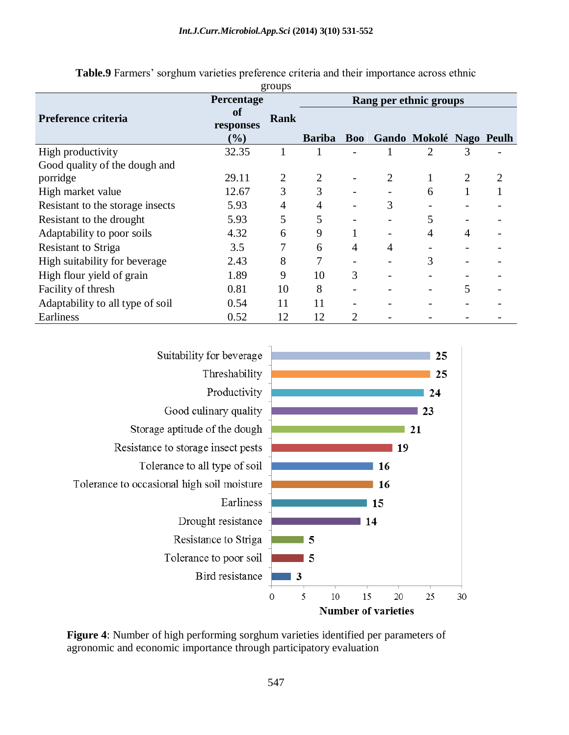|                                  | Percentage                        | 5.04 <sub>P</sub> | Rang per ethnic groups |            |   |                         |                |   |
|----------------------------------|-----------------------------------|-------------------|------------------------|------------|---|-------------------------|----------------|---|
| Preference criteria              | <sub>of</sub><br>responses<br>(%) | <b>Rank</b>       | <b>Bariba</b>          | <b>Boo</b> |   | Gando Mokolé Nago Peulh |                |   |
| High productivity                | 32.35                             | 1                 |                        |            |   | 2                       | 3              |   |
| Good quality of the dough and    |                                   |                   |                        |            |   |                         |                |   |
| porridge                         | 29.11                             | $\overline{2}$    |                        |            |   |                         | $\overline{2}$ | 2 |
| High market value                | 12.67                             | 3                 | 3                      |            |   | 6                       |                |   |
| Resistant to the storage insects | 5.93                              | 4                 | 4                      |            | 3 |                         |                |   |
| Resistant to the drought         | 5.93                              | 5                 | 5                      |            |   |                         |                |   |
| Adaptability to poor soils       | 4.32                              | 6                 | 9                      |            |   | 4                       | 4              |   |
| <b>Resistant to Striga</b>       | 3.5                               | 7                 | 6                      | 4          | 4 |                         |                |   |
| High suitability for beverage    | 2.43                              | 8                 |                        |            |   | 3                       |                |   |
| High flour yield of grain        | 1.89                              | 9                 | 10                     | 3          |   |                         |                |   |
| Facility of thresh               | 0.81                              | 10                | 8                      |            |   |                         | 5              |   |
| Adaptability to all type of soil | 0.54                              | 11                | 11                     |            |   |                         |                |   |
| Earliness                        | 0.52                              | 12                | 12                     | 2          |   |                         |                |   |

**Table.9** Farmers' sorghum varieties preference criteria and their importance across ethnic groups



**Figure 4**: Number of high performing sorghum varieties identified per parameters of agronomic and economic importance through participatory evaluation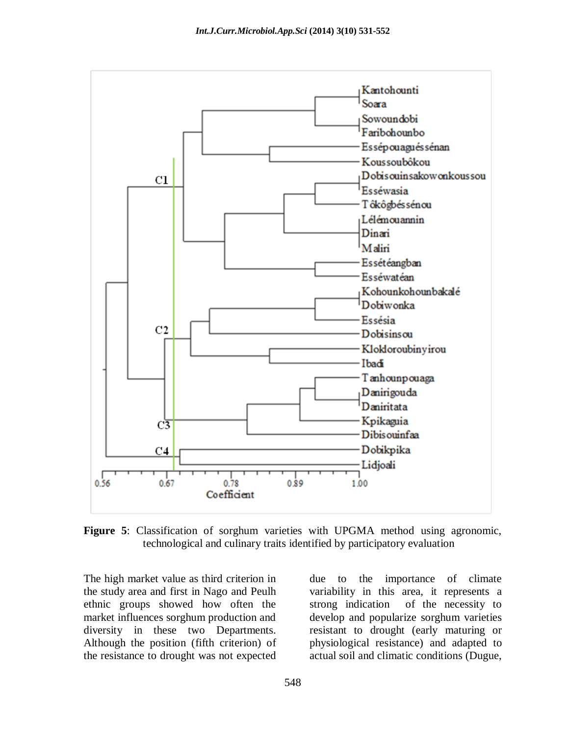

**Figure 5**: Classification of sorghum varieties with UPGMA method using agronomic, technological and culinary traits identified by participatory evaluation

The high market value as third criterion in the study area and first in Nago and Peulh ethnic groups showed how often the market influences sorghum production and diversity in these two Departments. Although the position (fifth criterion) of the resistance to drought was not expected due to the importance of climate variability in this area, it represents a strong indication of the necessity to develop and popularize sorghum varieties resistant to drought (early maturing or physiological resistance) and adapted to actual soil and climatic conditions (Dugue,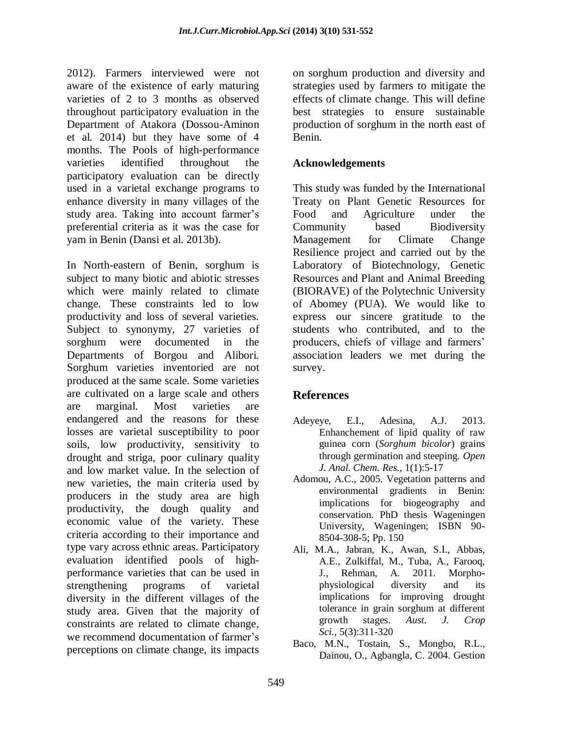2012). Farmers interviewed were not aware of the existence of early maturing varieties of 2 to 3 months as observed throughout participatory evaluation in the Department of Atakora (Dossou-Aminon et al. 2014) but they have some of 4 months. The Pools of high-performance varieties identified throughout the participatory evaluation can be directly used in a varietal exchange programs to enhance diversity in many villages of the study area. Taking into account farmer's preferential criteria as it was the case for yam in Benin (Dansi et al. 2013b).

In North-eastern of Benin, sorghum is subject to many biotic and abiotic stresses which were mainly related to climate change. These constraints led to low productivity and loss of several varieties. Subject to synonymy, 27 varieties of sorghum were documented in the Departments of Borgou and Alibori. Sorghum varieties inventoried are not produced at the same scale. Some varieties are cultivated on a large scale and others are marginal. Most varieties are endangered and the reasons for these losses are varietal susceptibility to poor soils, low productivity, sensitivity to drought and striga, poor culinary quality and low market value. In the selection of new varieties, the main criteria used by producers in the study area are high productivity, the dough quality and economic value of the variety. These criteria according to their importance and type vary across ethnic areas. Participatory evaluation identified pools of highperformance varieties that can be used in strengthening programs of varietal diversity in the different villages of the study area. Given that the majority of constraints are related to climate change, we recommend documentation of farmer's perceptions on climate change, its impacts on sorghum production and diversity and strategies used by farmers to mitigate the effects of climate change. This will define best strategies to ensure sustainable production of sorghum in the north east of Benin.

#### **Acknowledgements**

This study was funded by the International Treaty on Plant Genetic Resources for Food and Agriculture under the Community based Biodiversity Management for Climate Change Resilience project and carried out by the Laboratory of Biotechnology, Genetic Resources and Plant and Animal Breeding (BIORAVE) of the Polytechnic University of Abomey (PUA). We would like to express our sincere gratitude to the students who contributed, and to the producers, chiefs of village and farmers' association leaders we met during the survey.

### **References**

- Adeyeye, E.I., Adesina, A.J. 2013. Enhanchement of lipid quality of raw guinea corn (*Sorghum bicolor*) grains through germination and steeping. *Open J. Anal. Chem. Res.,* 1(1):5-17
- Adomou, A.C., 2005. Vegetation patterns and environmental gradients in Benin: implications for biogeography and conservation. PhD thesis Wageningen University, Wageningen; ISBN 90- 8504-308-5; Pp. 150
- Ali, M.A., Jabran, K., Awan, S.I., Abbas, A.E., Zulkiffal, M., Tuba, A., Farooq, J., Rehman, A. 2011. Morphophysiological diversity and its implications for improving drought tolerance in grain sorghum at different growth stages. *Aust. J. Crop Sci.,* 5(3):311-320
- Baco, M.N., Tostain, S., Mongbo, R.L., Dainou, O., Agbangla, C. 2004. Gestion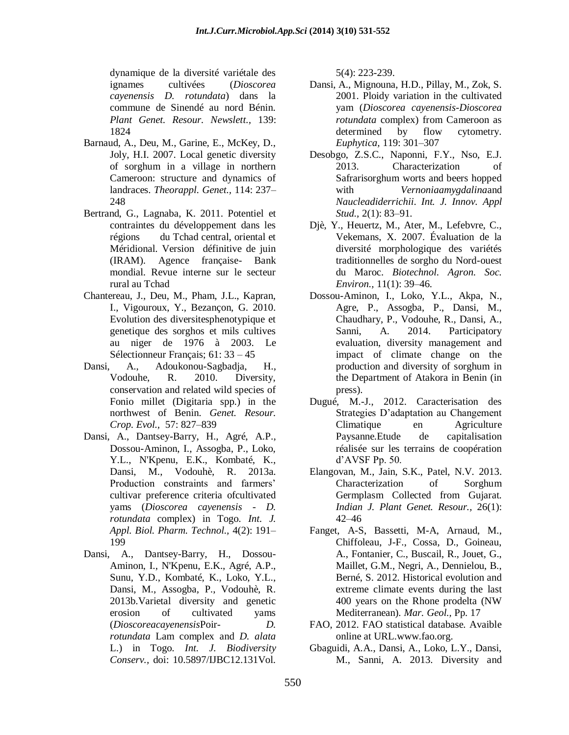dynamique de la diversité variétale des ignames cultivées (*Dioscorea cayenensis D. rotundata*) dans la commune de Sinendé au nord Bénin. *Plant Genet. Resour. Newslett.,* 139: 1824

- Barnaud, A., Deu, M., Garine, E., McKey, D., Joly, H.I. 2007. Local genetic diversity of sorghum in a village in northern Cameroon: structure and dynamics of landraces. *Theorappl. Genet.,* 114: 237– 248
- Bertrand, G., Lagnaba, K. 2011. Potentiel et contraintes du développement dans les régions du Tchad central, oriental et Méridional. Version définitive de juin (IRAM). Agence française- Bank mondial. Revue interne sur le secteur rural au Tchad
- Chantereau, J., Deu, M., Pham, J.L., Kapran, I., Vigouroux, Y., Bezançon, G. 2010. Evolution des diversitesphenotypique et genetique des sorghos et mils cultives au niger de 1976 à 2003. Le Sélectionneur Français; 61: 33 – 45
- Dansi, A., Adoukonou-Sagbadja, H., Vodouhe, R. 2010. Diversity, conservation and related wild species of Fonio millet (Digitaria spp.) in the northwest of Benin. *Genet. Resour. Crop. Evol.,* 57: 827–839
- Dansi, A., Dantsey-Barry, H., Agré, A.P., Dossou-Aminon, I., Assogba, P., Loko, Y.L., N'Kpenu, E.K., Kombaté, K., Dansi, M., Vodouhè, R. 2013a. Production constraints and farmers' cultivar preference criteria ofcultivated yams (*Dioscorea cayenensis - D. rotundata* complex) in Togo. *Int. J. Appl. Biol. Pharm. Technol.,* 4(2): 191– 199
- Dansi, A., Dantsey-Barry, H., Dossou-Aminon, I., N'Kpenu, E.K., Agré, A.P., Sunu, Y.D., Kombaté, K., Loko, Y.L., Dansi, M., Assogba, P., Vodouhè, R. 2013b.Varietal diversity and genetic erosion of cultivated yams (*Dioscoreacayenensis*Poir*- D. rotundata* Lam complex and *D. alata*  L.) in Togo. *Int. J. Biodiversity Conserv.,* doi: 10.5897/IJBC12.131Vol.

5(4): 223-239.

- Dansi, A., Mignouna, H.D., Pillay, M., Zok, S. 2001. Ploidy variation in the cultivated yam (*Dioscorea cayenensis-Dioscorea rotundata* complex) from Cameroon as determined by flow cytometry. *Euphytica,* 119: 301–307
- Desobgo, Z.S.C., Naponni, F.Y., Nso, E.J. 2013. Characterization of Safrarisorghum worts and beers hopped with *Vernoniaamygdalina*and *Naucleadiderrichii*. *Int. J. Innov. Appl Stud.,* 2(1): 83–91.
- Djè, Y., Heuertz, M., Ater, M., Lefebvre, C., Vekemans, X. 2007. Évaluation de la diversité morphologique des variétés traditionnelles de sorgho du Nord-ouest du Maroc. *Biotechnol. Agron. Soc. Environ.,* 11(1): 39–46.
- Dossou-Aminon, I., Loko, Y.L., Akpa, N., Agre, P., Assogba, P., Dansi, M., Chaudhary, P., Vodouhe, R., Dansi, A., Sanni, A. 2014. Participatory evaluation, diversity management and impact of climate change on the production and diversity of sorghum in the Department of Atakora in Benin (in press).
- Dugué, M.-J., 2012. Caracterisation des Strategies D'adaptation au Changement Climatique en Agriculture Paysanne.Etude de capitalisation réalisée sur les terrains de coopération d'AVSF Pp. 50.
- Elangovan, M., Jain, S.K., Patel, N.V. 2013. Characterization of Sorghum Germplasm Collected from Gujarat. *Indian J. Plant Genet. Resour.,* 26(1): 42–46
- Fanget, A-S, Bassetti, M-A, Arnaud, M., Chiffoleau, J-F., Cossa, D., Goineau, A., Fontanier, C., Buscail, R., Jouet, G., Maillet, G.M., Negri, A., Dennielou, B., Berné, S. 2012. Historical evolution and extreme climate events during the last 400 years on the Rhone prodelta (NW Mediterranean). *Mar. Geol.,* Pp. 17
- FAO, 2012. FAO statistical database. Avaible online at URL[.www.fao.org.](http://www.fao.org/)
- Gbaguidi, A.A., Dansi, A., Loko, L.Y., Dansi, M., Sanni, A. 2013. Diversity and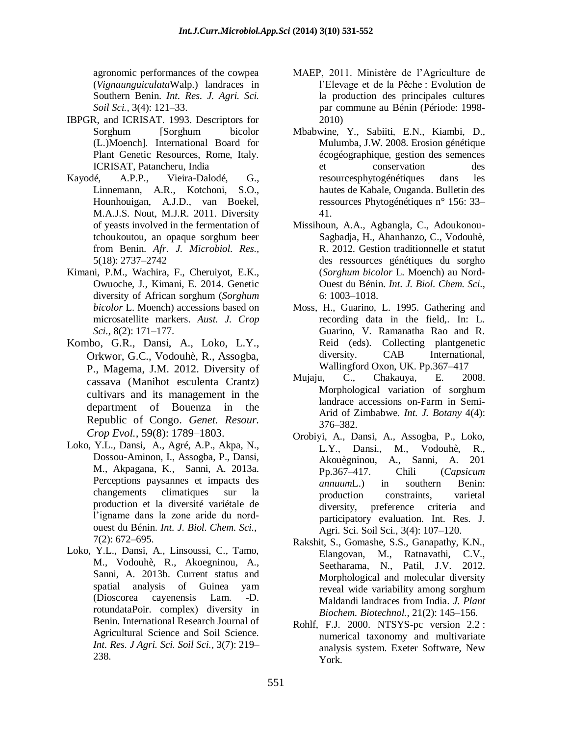agronomic performances of the cowpea (*Vignaunguiculata*Walp.) landraces in Southern Benin. *Int. Res. J. Agri. Sci. Soil Sci.,* 3(4): 121–33.

- IBPGR, and ICRISAT. 1993. Descriptors for Sorghum [Sorghum bicolor (L.)Moench]. International Board for Plant Genetic Resources, Rome, Italy. ICRISAT, Patancheru, India
- Kayodé, A.P.P., Vieira-Dalodé, G., Linnemann, A.R., Kotchoni, S.O., Hounhouigan, A.J.D., van Boekel, M.A.J.S. Nout, M.J.R. 2011. Diversity of yeasts involved in the fermentation of tchoukoutou, an opaque sorghum beer from Benin. *Afr. J. Microbiol. Res.,* 5(18): 2737–2742
- Kimani, P.M., Wachira, F., Cheruiyot, E.K., Owuoche, J., Kimani, E. 2014. Genetic diversity of African sorghum (*Sorghum bicolor* L. Moench) accessions based on microsatellite markers. *Aust. J. Crop Sci.,* 8(2): 171–177.
- Kombo, G.R., Dansi, A., Loko, L.Y., Orkwor, G.C., Vodouhè, R., Assogba, P., Magema, J.M. 2012. Diversity of cassava (Manihot esculenta Crantz) cultivars and its management in the department of Bouenza in the Republic of Congo. *Genet. Resour. Crop Evol.,* 59(8): 1789–1803.
- Loko, Y.L., Dansi, A., Agré, A.P., Akpa, N., Dossou-Aminon, I., Assogba, P., Dansi, M., Akpagana, K., Sanni, A. 2013a. Perceptions paysannes et impacts des changements climatiques sur la production et la diversité variétale de l'igname dans la zone aride du nordouest du Bénin. *Int. J. Biol. Chem. Sci.,* 7(2): 672–695.
- Loko, Y.L., Dansi, A., Linsoussi, C., Tamo, M., Vodouhè, R., Akoegninou, A., Sanni, A. 2013b. Current status and spatial analysis of Guinea yam (Dioscorea cayenensis Lam. -D. rotundataPoir. complex) diversity in Benin. International Research Journal of Agricultural Science and Soil Science. *[Int. Res. J Agri. Sci. Soil Sci.](http://www.cabdirect.org/search.html?q=do%3A%22International+Research+Journal+of+Agricultural+Science+and+Soil+Science%22),* 3(7): 219– 238.
- MAEP, 2011. Ministère de l'Agriculture de l'Elevage et de la Pêche : Evolution de la production des principales cultures par commune au Bénin (Période: 1998- 2010)
- Mbabwine, Y., Sabiiti, E.N., Kiambi, D., Mulumba, J.W. 2008. Erosion génétique écogéographique, gestion des semences et conservation des resourcesphytogénétiques dans les hautes de Kabale, Ouganda. Bulletin des ressources Phytogénétiques n° 156: 33– 41.
- Missihoun, A.A., Agbangla, C., Adoukonou-Sagbadja, H., Ahanhanzo, C., Vodouhè, R. 2012. Gestion traditionnelle et statut des ressources génétiques du sorgho (*Sorghum bicolor* L. Moench) au Nord-Ouest du Bénin. *Int. J. Biol. Chem. Sci.,* 6: 1003–1018.
- Moss, H., Guarino, L. 1995. Gathering and recording data in the field,. In: L. Guarino, V. Ramanatha Rao and R. Reid (eds). Collecting plantgenetic diversity. CAB International, Wallingford Oxon, UK. Pp.367–417
- Mujaju, C., Chakauya, E. 2008. Morphological variation of sorghum landrace accessions on-Farm in Semi-Arid of Zimbabwe. *Int. J. Botany* 4(4): 376–382.
- Orobiyi, A., Dansi, A., Assogba, P., Loko, L.Y., Dansi., M., Vodouhè, R., Akouègninou, A., Sanni, A. 201 Pp.367–417. Chili (*Capsicum annuum*L.) in southern Benin: production constraints, varietal diversity, preference criteria and participatory evaluation. Int. Res. J. Agri. Sci. Soil Sci., 3(4): 107–120.
- Rakshit, S., Gomashe, S.S., Ganapathy, K.N., Elangovan, M., Ratnavathi, C.V., Seetharama, N., Patil, J.V. 2012. Morphological and molecular diversity reveal wide variability among sorghum Maldandi landraces from India. *J. Plant Biochem. Biotechnol.,* 21(2): 145–156.
- Rohlf, F.J. 2000. NTSYS-pc version 2.2 : numerical taxonomy and multivariate analysis system. Exeter Software, New York.